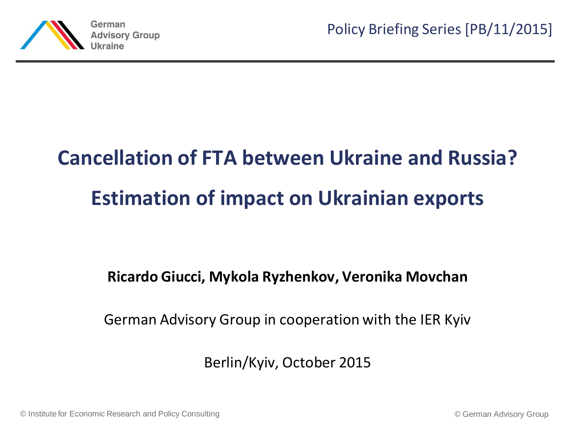

# **Cancellation of FTA between Ukraine and Russia? Estimation of impact on Ukrainian exports**

#### **Ricardo Giucci, Mykola Ryzhenkov, Veronika Movchan**

German Advisory Group in cooperation with the IER Kyiv

Berlin/Kyiv, October 2015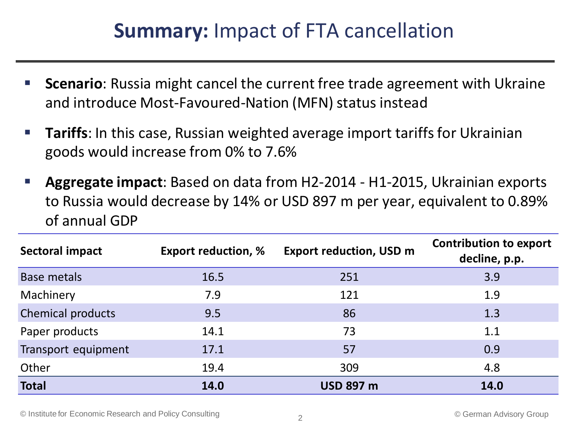### **Summary:** Impact of FTA cancellation

- **Scenario**: Russia might cancel the current free trade agreement with Ukraine and introduce Most-Favoured-Nation (MFN) status instead
- **Tariffs**: In this case, Russian weighted average import tariffs for Ukrainian goods would increase from 0% to 7.6%
- **Aggregate impact**: Based on data from H2-2014 H1-2015, Ukrainian exports to Russia would decrease by 14% or USD 897 m per year, equivalent to 0.89% of annual GDP

| Sectoral impact     | <b>Export reduction, %</b> | <b>Export reduction, USD m</b> | <b>Contribution to export</b><br>decline, p.p. |
|---------------------|----------------------------|--------------------------------|------------------------------------------------|
| <b>Base metals</b>  | 16.5                       | 251                            | 3.9                                            |
| Machinery           | 7.9                        | 121                            | 1.9                                            |
| Chemical products   | 9.5                        | 86                             | 1.3                                            |
| Paper products      | 14.1                       | 73                             | 1.1                                            |
| Transport equipment | 17.1                       | 57                             | 0.9                                            |
| Other               | 19.4                       | 309                            | 4.8                                            |
| <b>Total</b>        | 14.0                       | <b>USD 897 m</b>               | 14.0                                           |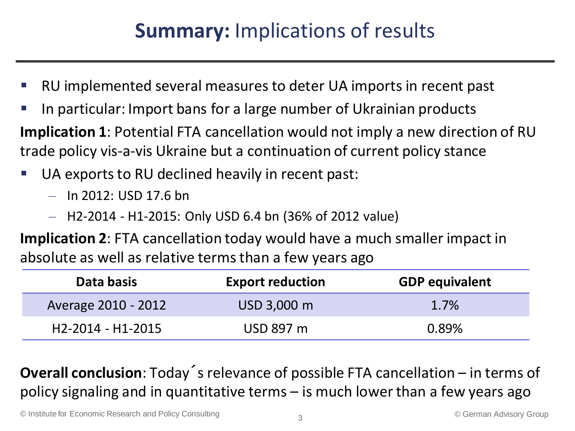### **Summary:** Implications of results

- RU implemented several measures to deter UA imports in recent past
- In particular: Import bans for a large number of Ukrainian products

**Implication 1**: Potential FTA cancellation would not imply a new direction of RU trade policy vis-a-vis Ukraine but a continuation of current policy stance

- UA exports to RU declined heavily in recent past:
	- $-$  In 2012: USD 17.6 bn
	- H2-2014 H1-2015: Only USD 6.4 bn (36% of 2012 value)

**Implication 2**: FTA cancellation today would have a much smaller impact in absolute as well as relative terms than a few years ago

| Data basis          | <b>Export reduction</b> | <b>GDP equivalent</b> |
|---------------------|-------------------------|-----------------------|
| Average 2010 - 2012 | USD 3,000 m             | 1.7%                  |
| H2-2014 - H1-2015   | USD 897 m               | 0.89%                 |

**Overall conclusion**: Today´s relevance of possible FTA cancellation – in terms of policy signaling and in quantitative terms – is much lower than a few years ago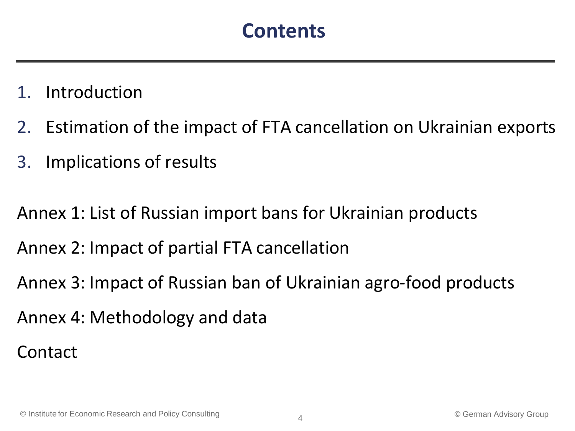- **Introduction**
- 2. Estimation of the impact of FTA cancellation on Ukrainian exports
- 3. Implications of results

Annex 1: List of Russian import bans for Ukrainian products

Annex 2: Impact of partial FTA cancellation

Annex 3: Impact of Russian ban of Ukrainian agro-food products

Annex 4: Methodology and data

Contact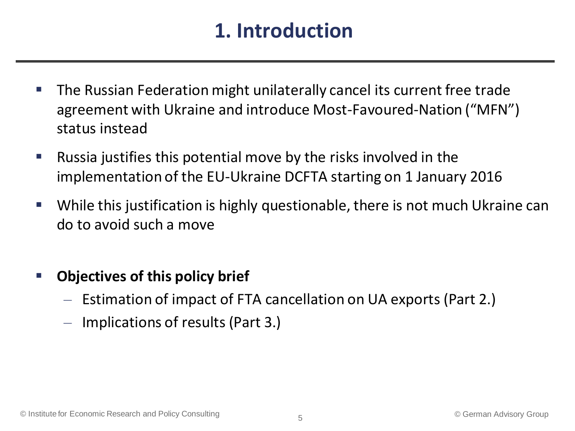### **1. Introduction**

- The Russian Federation might unilaterally cancel its current free trade agreement with Ukraine and introduce Most-Favoured-Nation ("MFN") status instead
- **Russia justifies this potential move by the risks involved in the** implementation of the EU-Ukraine DCFTA starting on 1 January 2016
- While this justification is highly questionable, there is not much Ukraine can do to avoid such a move
- **Objectives of this policy brief**
	- Estimation of impact of FTA cancellation on UA exports (Part 2.)
	- Implications of results (Part 3.)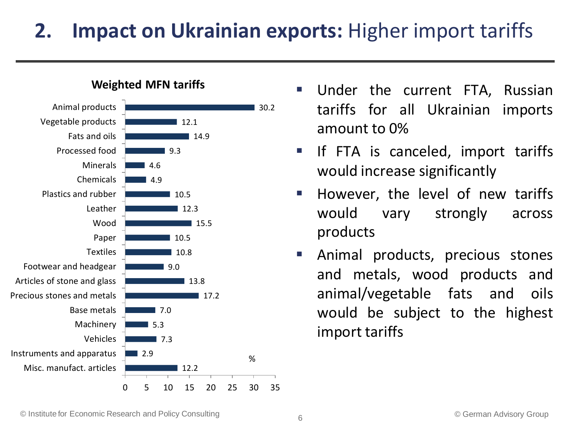## **2. Impact on Ukrainian exports:** Higher import tariffs



- Under the current FTA, Russian tariffs for all Ukrainian imports amount to 0%
	- **If FTA is canceled, import tariffs** would increase significantly
	- However, the level of new tariffs would vary strongly across products
	- **E** Animal products, precious stones and metals, wood products and animal/vegetable fats and oils would be subject to the highest import tariffs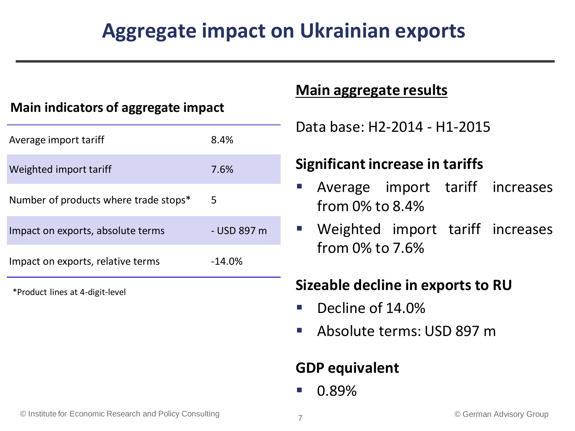### **Aggregate impact on Ukrainian exports**

#### **Main indicators of aggregate impact**

| Average import tariff                 | 8.4%        |
|---------------------------------------|-------------|
| Weighted import tariff                | 7.6%        |
| Number of products where trade stops* | 5           |
| Impact on exports, absolute terms     | - USD 897 m |
| Impact on exports, relative terms     | $-14.0%$    |
|                                       |             |

\*Product lines at 4-digit-level

#### **Main aggregate results**

Data base: H2-2014 - H1-2015

#### **Significant increase in tariffs**

- Average import tariff increases from 0% to 8.4%
- Weighted import tariff increases from 0% to 7.6%

#### **Sizeable decline in exports to RU**

- Decline of 14.0%
- Absolute terms: USD 897 m

#### **GDP equivalent**

0.89%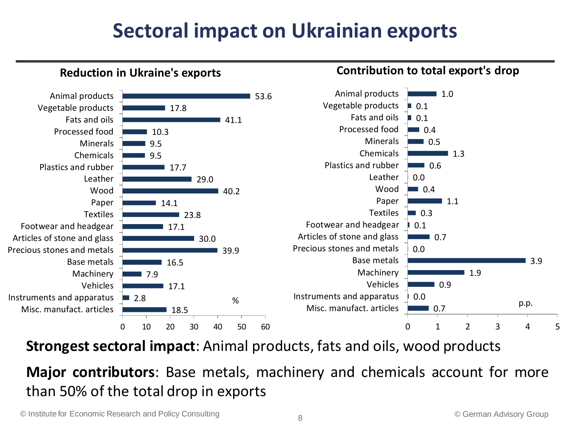### **Sectoral impact on Ukrainian exports**



**Strongest sectoral impact**: Animal products, fats and oils, wood products

**Major contributors**: Base metals, machinery and chemicals account for more than 50% of the total drop in exports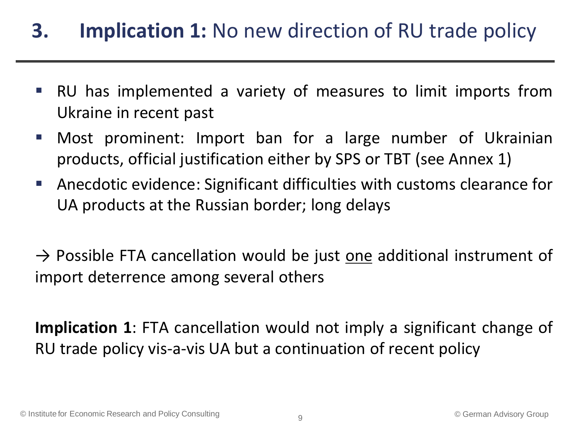### **3. Implication 1:** No new direction of RU trade policy

- RU has implemented a variety of measures to limit imports from Ukraine in recent past
- Most prominent: Import ban for a large number of Ukrainian products, official justification either by SPS or TBT (see Annex 1)
- Anecdotic evidence: Significant difficulties with customs clearance for UA products at the Russian border; long delays

 $\rightarrow$  Possible FTA cancellation would be just one additional instrument of import deterrence among several others

**Implication 1**: FTA cancellation would not imply a significant change of RU trade policy vis-a-vis UA but a continuation of recent policy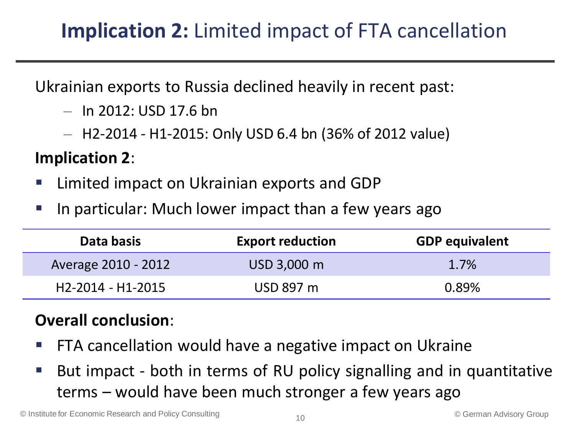### **Implication 2:** Limited impact of FTA cancellation

Ukrainian exports to Russia declined heavily in recent past:

- In 2012: USD 17.6 bn
- H2-2014 H1-2015: Only USD 6.4 bn (36% of 2012 value)

#### **Implication 2**:

- Limited impact on Ukrainian exports and GDP
- **If the particular: Much lower impact than a few years ago**

| Data basis          | <b>Export reduction</b> | <b>GDP equivalent</b> |
|---------------------|-------------------------|-----------------------|
| Average 2010 - 2012 | USD 3,000 m             | 1.7%                  |
| H2-2014 - H1-2015   | USD 897 m               | 0.89%                 |

#### **Overall conclusion**:

- FTA cancellation would have a negative impact on Ukraine
- But impact both in terms of RU policy signalling and in quantitative terms – would have been much stronger a few years ago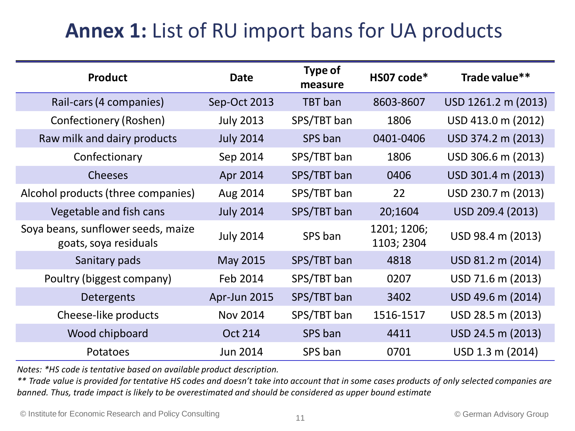### **Annex 1:** List of RU import bans for UA products

| <b>Product</b>                                              | <b>Date</b>      | Type of<br>measure | HS07 code*                | Trade value**       |
|-------------------------------------------------------------|------------------|--------------------|---------------------------|---------------------|
| Rail-cars (4 companies)                                     | Sep-Oct 2013     | <b>TBT</b> ban     | 8603-8607                 | USD 1261.2 m (2013) |
| Confectionery (Roshen)                                      | <b>July 2013</b> | SPS/TBT ban        | 1806                      | USD 413.0 m (2012)  |
| Raw milk and dairy products                                 | <b>July 2014</b> | SPS ban            | 0401-0406                 | USD 374.2 m (2013)  |
| Confectionary                                               | Sep 2014         | SPS/TBT ban        | 1806                      | USD 306.6 m (2013)  |
| <b>Cheeses</b>                                              | Apr 2014         | SPS/TBT ban        | 0406                      | USD 301.4 m (2013)  |
| Alcohol products (three companies)                          | Aug 2014         | SPS/TBT ban        | 22                        | USD 230.7 m (2013)  |
| Vegetable and fish cans                                     | <b>July 2014</b> | SPS/TBT ban        | 20;1604                   | USD 209.4 (2013)    |
| Soya beans, sunflower seeds, maize<br>goats, soya residuals | <b>July 2014</b> | SPS ban            | 1201; 1206;<br>1103; 2304 | USD 98.4 m (2013)   |
| Sanitary pads                                               | May 2015         | SPS/TBT ban        | 4818                      | USD 81.2 m (2014)   |
| Poultry (biggest company)                                   | Feb 2014         | SPS/TBT ban        | 0207                      | USD 71.6 m (2013)   |
| Detergents                                                  | Apr-Jun 2015     | SPS/TBT ban        | 3402                      | USD 49.6 m (2014)   |
| Cheese-like products                                        | Nov 2014         | SPS/TBT ban        | 1516-1517                 | USD 28.5 m (2013)   |
| Wood chipboard                                              | <b>Oct 214</b>   | SPS ban            | 4411                      | USD 24.5 m (2013)   |
| Potatoes                                                    | Jun 2014         | SPS ban            | 0701                      | USD 1.3 m (2014)    |

*Notes: \*HS code is tentative based on available product description.* 

*\*\* Trade value is provided for tentative HS codes and doesn't take into account that in some cases products of only selected companies are banned. Thus, trade impact is likely to be overestimated and should be considered as upper bound estimate*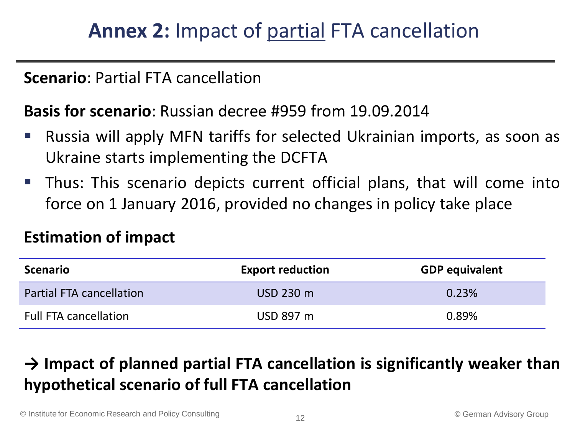#### **Scenario**: Partial FTA cancellation

#### **Basis for scenario**: Russian decree #959 from 19.09.2014

- Russia will apply MFN tariffs for selected Ukrainian imports, as soon as Ukraine starts implementing the DCFTA
- Thus: This scenario depicts current official plans, that will come into force on 1 January 2016, provided no changes in policy take place

#### **Estimation of impact**

| <b>Scenario</b>                 | <b>Export reduction</b> | <b>GDP equivalent</b> |
|---------------------------------|-------------------------|-----------------------|
| <b>Partial FTA cancellation</b> | USD 230 m               | 0.23%                 |
| <b>Full FTA cancellation</b>    | USD 897 m               | 0.89%                 |

### **→ Impact of planned partial FTA cancellation is significantly weaker than hypothetical scenario of full FTA cancellation**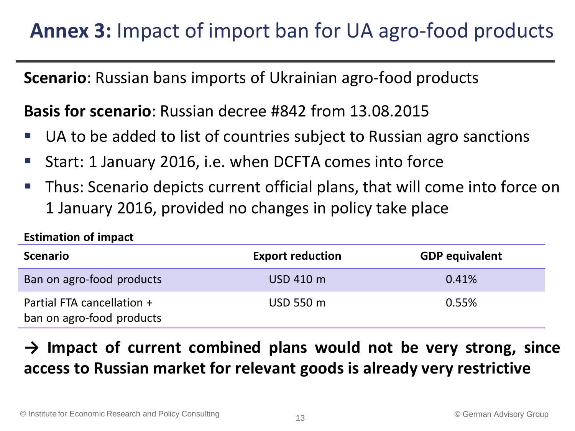### **Annex 3:** Impact of import ban for UA agro-food products

**Scenario**: Russian bans imports of Ukrainian agro-food products

**Basis for scenario**: Russian decree #842 from 13.08.2015

- UA to be added to list of countries subject to Russian agro sanctions
- Start: 1 January 2016, i.e. when DCFTA comes into force
- Thus: Scenario depicts current official plans, that will come into force on 1 January 2016, provided no changes in policy take place

| <b>Scenario</b>                                         | <b>Export reduction</b> | <b>GDP equivalent</b> |
|---------------------------------------------------------|-------------------------|-----------------------|
| Ban on agro-food products                               | USD 410 m               | 0.41%                 |
| Partial FTA cancellation +<br>ban on agro-food products | USD 550 m               | 0.55%                 |

#### **→ Impact of current combined plans would not be very strong, since access to Russian market for relevant goods is already very restrictive**

**Estimation of impact**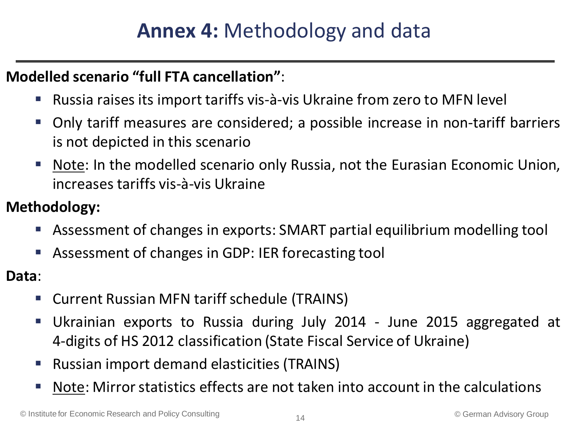#### **Modelled scenario "full FTA cancellation"**:

- Russia raises its import tariffs vis-à-vis Ukraine from zero to MFN level
- Only tariff measures are considered; a possible increase in non-tariff barriers is not depicted in this scenario
- Note: In the modelled scenario only Russia, not the Eurasian Economic Union, increases tariffs vis-à-vis Ukraine
- **Methodology:**
	- Assessment of changes in exports: SMART partial equilibrium modelling tool
	- Assessment of changes in GDP: IER forecasting tool
- **Data**:
	- Current Russian MFN tariff schedule (TRAINS)
	- Ukrainian exports to Russia during July 2014 June 2015 aggregated at 4-digits of HS 2012 classification (State Fiscal Service of Ukraine)
	- Russian import demand elasticities (TRAINS)
	- Note: Mirror statistics effects are not taken into account in the calculations